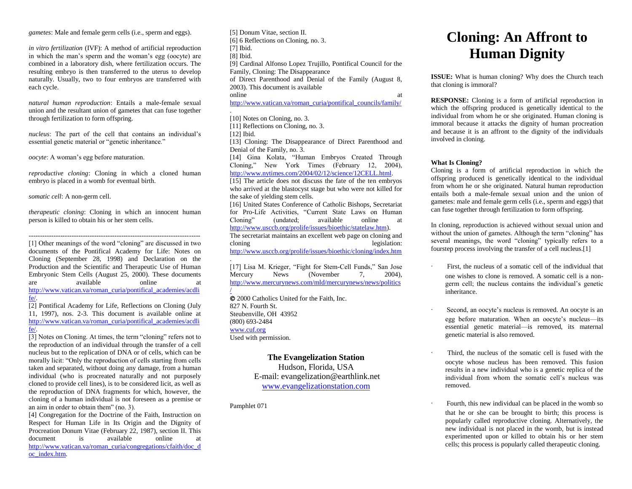*gametes*: Male and female germ cells (i.e., sperm and eggs).

*in vitro fertilization* (IVF): A method of artificial reproduction in which the man's sperm and the woman's egg (oocyte) are combined in a laboratory dish, where fertilization occurs. The resulting embryo is then transferred to the uterus to develop naturally. Usually, two to four embryos are transferred with each cycle.

*natural human reproduction*: Entails a male-female sexual union and the resultant union of gametes that can fuse together through fertilization to form offspring.

*nucleus*: The part of the cell that contains an individual's essential genetic material or "genetic inheritance."

*oocyte*: A woman's egg before maturation.

*reproductive cloning*: Cloning in which a cloned human embryo is placed in a womb for eventual birth.

*somatic cell*: A non-germ cell.

*therapeutic cloning*: Cloning in which an innocent human person is killed to obtain his or her stem cells.

---------------------------------------------------------------------------- [1] Other meanings of the word "cloning" are discussed in two documents of the Pontifical Academy for Life: Notes on Cloning (September 28, 1998) and Declaration on the Production and the Scientific and Therapeutic Use of Human Embryonic Stem Cells (August 25, 2000). These documents are available online at [http://www.vatican.va/roman\\_curia/pontifical\\_academies/acdli](http://www.vatican.va/roman_curia/pontifical_academies/acdlife/) [fe/.](http://www.vatican.va/roman_curia/pontifical_academies/acdlife/)

[2] Pontifical Academy for Life, Reflections on Cloning (July 11, 1997), nos. 2-3. This document is available online at [http://www.vatican.va/roman\\_curia/pontifical\\_academies/acdli](http://www.vatican.va/roman_curia/pontifical_academies/acdlife/) [fe/.](http://www.vatican.va/roman_curia/pontifical_academies/acdlife/)

[3] Notes on Cloning. At times, the term "cloning" refers not to the reproduction of an individual through the transfer of a cell nucleus but to the replication of DNA or of cells, which can be morally licit: "Only the reproduction of cells starting from cells taken and separated, without doing any damage, from a human individual (who is procreated naturally and not purposely cloned to provide cell lines), is to be considered licit, as well as the reproduction of DNA fragments for which, however, the cloning of a human individual is not foreseen as a premise or an aim in order to obtain them" (no. 3).

[4] Congregation for the Doctrine of the Faith, Instruction on Respect for Human Life in Its Origin and the Dignity of Procreation Donum Vitae (February 22, 1987), section II. This document is available online at [http://www.vatican.va/roman\\_curia/congregations/cfaith/doc\\_d](http://www.vatican.va/roman_curia/congregations/cfaith/doc_doc_index.htm) [oc\\_index.htm.](http://www.vatican.va/roman_curia/congregations/cfaith/doc_doc_index.htm)

[5] Donum Vitae, section II. [6] 6 Reflections on Cloning, no. 3. [7] Ibid. [8] Ibid. [9] Cardinal Alfonso Lopez Trujillo, Pontifical Council for the Family, Cloning: The Disappearance of Direct Parenthood and Denial of the Family (August 8, 2003). This document is available online at a state of  $\alpha$  at a state of  $\alpha$  at a state of  $\alpha$  at a state of  $\alpha$  at a state of  $\alpha$  at a state of  $\alpha$  at a state of  $\alpha$  at a state of  $\alpha$  at a state of  $\alpha$  at a state of  $\alpha$  at a state of  $\alpha$  at a s [http://www.vatican.va/roman\\_curia/pontifical\\_councils/family/](http://www.vatican.va/roman_curia/pontifical_councils/family/) . [10] Notes on Cloning, no. 3. [11] Reflections on Cloning, no. 3. [12] Ibid. [13] Cloning: The Disappearance of Direct Parenthood and Denial of the Family, no. 3. [14] Gina Kolata, "Human Embryos Created Through Cloning," New York Times (February 12, 2004), [http://www.nytimes.com/2004/02/12/science/12CELL.html.](http://www.nytimes.com/2004/02/12/science/12CELL.html) [15] The article does not discuss the fate of the ten embryos who arrived at the blastocyst stage but who were not killed for

the sake of yielding stem cells. [16] United States Conference of Catholic Bishops, Secretariat for Pro-Life Activities, "Current State Laws on Human (undated; available online at [http://www.usccb.org/prolife/issues/bioethic/statelaw.htm\)](http://www.usccb.org/prolife/issues/bioethic/statelaw.htm). The secretariat maintains an excellent web page on cloning and

cloning legislation: <http://www.usccb.org/prolife/issues/bioethic/cloning/index.htm>

. [17] Lisa M. Krieger, "Fight for Stem-Cell Funds," San Jose Mercury News (November 7, 2004), [http://www.mercurynews.com/mld/mercurynews/news/politics](http://www.mercurynews.com/mld/mercurynews/news/politics/) [/](http://www.mercurynews.com/mld/mercurynews/news/politics/)

 2000 Catholics United for the Faith, Inc. 827 N. Fourth St. Steubenville, OH 43952 (800) 693-2484 [www.cuf.org](http://www.cuf.org/) Used with permission.

> **The Evangelization Station** Hudson, Florida, USA E-mail: evangelization@earthlink.net [www.evangelizationstation.com](http://www.pjpiisoe.org/)

Pamphlet 071

# **Cloning: An Affront to Human Dignity**

**ISSUE:** What is human cloning? Why does the Church teach that cloning is immoral?

**RESPONSE:** Cloning is a form of artificial reproduction in which the offspring produced is genetically identical to the individual from whom he or she originated. Human cloning is immoral because it attacks the dignity of human procreation and because it is an affront to the dignity of the individuals involved in cloning.

## **What Is Cloning?**

Cloning is a form of artificial reproduction in which the offspring produced is genetically identical to the individual from whom he or she originated. Natural human reproduction entails both a male-female sexual union and the union of gametes: male and female germ cells (i.e., sperm and eggs) that can fuse together through fertilization to form offspring.

In cloning, reproduction is achieved without sexual union and without the union of gametes. Although the term "cloning" has several meanings, the word "cloning" typically refers to a fourstep process involving the transfer of a cell nucleus.[1]

- First, the nucleus of a somatic cell of the individual that one wishes to clone is removed. A somatic cell is a nongerm cell; the nucleus contains the individual's genetic inheritance.
- Second, an oocyte's nucleus is removed. An oocyte is an egg before maturation. When an oocyte's nucleus—its essential genetic material—is removed, its maternal genetic material is also removed.
- Third, the nucleus of the somatic cell is fused with the oocyte whose nucleus has been removed. This fusion results in a new individual who is a genetic replica of the individual from whom the somatic cell's nucleus was removed.
- Fourth, this new individual can be placed in the womb so that he or she can be brought to birth; this process is popularly called reproductive cloning. Alternatively, the new individual is not placed in the womb, but is instead experimented upon or killed to obtain his or her stem cells; this process is popularly called therapeutic cloning.